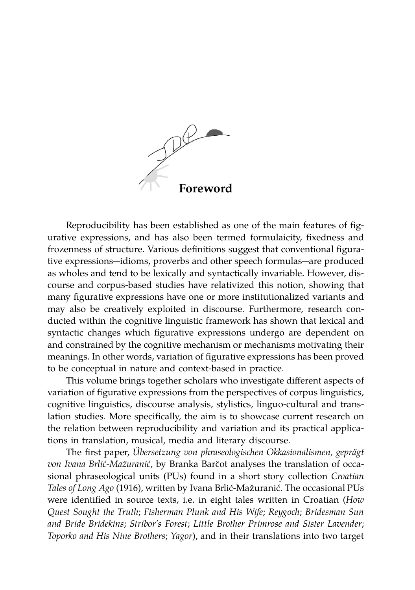

Reproducibility has been established as one of the main features of figurative expressions, and has also been termed formulaicity, fixedness and frozenness of structure. Various definitions suggest that conventional figurative expressions-idioms, proverbs and other speech formulas-are produced as wholes and tend to be lexically and syntactically invariable. However, discourse and corpus-based studies have relativized this notion, showing that many figurative expressions have one or more institutionalized variants and may also be creatively exploited in discourse. Furthermore, research conducted within the cognitive linguistic framework has shown that lexical and syntactic changes which figurative expressions undergo are dependent on and constrained by the cognitive mechanism or mechanisms motivating their meanings. In other words, variation of figurative expressions has been proved to be conceptual in nature and context-based in practice.

This volume brings together scholars who investigate different aspects of variation of figurative expressions from the perspectives of corpus linguistics, cognitive linguistics, discourse analysis, stylistics, linguo-cultural and translation studies. More specifically, the aim is to showcase current research on the relation between reproducibility and variation and its practical applications in translation, musical, media and literary discourse.

The first paper, *Übersetzung von phraseologischen Okkasionalismen, geprägt von Ivana Brlić-Mažuranić, by Branka Barčot analyses the translation of occa*sional phraseological units (PUs) found in a short story collection *Croatian* Tales of Long Ago (1916), written by Ivana Brlić-Mažuranić. The occasional PUs were identified in source texts, i.e. in eight tales written in Croatian (*How Quest Sought the Truth*; *Fisherman Plunk and His Wife*; *Reygoch*; *Bridesman Sun and Bride Bridekins*; *Stribor's Forest*; *Little Brother Primrose and Sister Lavender*; *Toporko and His Nine Brothers*; *Yagor*), and in their translations into two target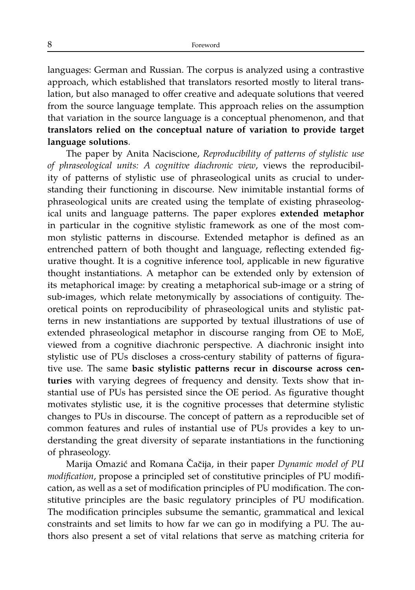languages: German and Russian. The corpus is analyzed using a contrastive approach, which established that translators resorted mostly to literal translation, but also managed to offer creative and adequate solutions that veered from the source language template. This approach relies on the assumption that variation in the source language is a conceptual phenomenon, and that **translators relied on the conceptual nature of variation to provide target language solutions**.

The paper by Anita Naciscione, *Reproducibility of patterns of stylistic use of phraseological units: A cognitive diachronic view*, views the reproducibility of patterns of stylistic use of phraseological units as crucial to understanding their functioning in discourse. New inimitable instantial forms of phraseological units are created using the template of existing phraseological units and language patterns. The paper explores **extended metaphor** in particular in the cognitive stylistic framework as one of the most common stylistic patterns in discourse. Extended metaphor is defined as an entrenched pattern of both thought and language, reflecting extended figurative thought. It is a cognitive inference tool, applicable in new figurative thought instantiations. A metaphor can be extended only by extension of its metaphorical image: by creating a metaphorical sub-image or a string of sub-images, which relate metonymically by associations of contiguity. Theoretical points on reproducibility of phraseological units and stylistic patterns in new instantiations are supported by textual illustrations of use of extended phraseological metaphor in discourse ranging from OE to MoE, viewed from a cognitive diachronic perspective. A diachronic insight into stylistic use of PUs discloses a cross-century stability of patterns of figurative use. The same **basic stylistic patterns recur in discourse across centuries** with varying degrees of frequency and density. Texts show that instantial use of PUs has persisted since the OE period. As figurative thought motivates stylistic use, it is the cognitive processes that determine stylistic changes to PUs in discourse. The concept of pattern as a reproducible set of common features and rules of instantial use of PUs provides a key to understanding the great diversity of separate instantiations in the functioning of phraseology.

Marija Omazić and Romana Čačija, in their paper Dynamic model of PU *modification*, propose a principled set of constitutive principles of PU modification, as well as a set of modification principles of PU modification. The constitutive principles are the basic regulatory principles of PU modification. The modification principles subsume the semantic, grammatical and lexical constraints and set limits to how far we can go in modifying a PU. The authors also present a set of vital relations that serve as matching criteria for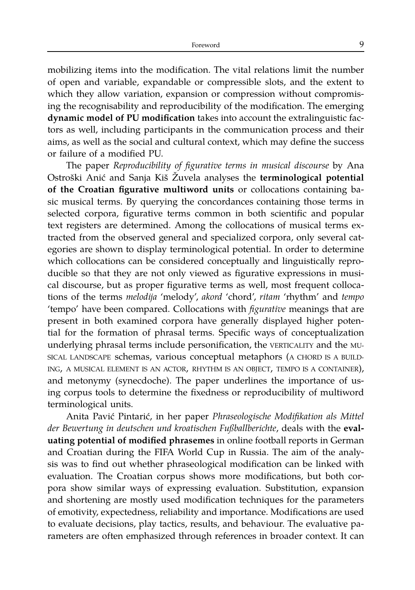mobilizing items into the modification. The vital relations limit the number of open and variable, expandable or compressible slots, and the extent to which they allow variation, expansion or compression without compromising the recognisability and reproducibility of the modification. The emerging **dynamic model of PU modification** takes into account the extralinguistic factors as well, including participants in the communication process and their aims, as well as the social and cultural context, which may define the success or failure of a modified PU.

The paper *Reproducibility of figurative terms in musical discourse* by Ana Ostroški Anić and Sanja Kiš Žuvela analyses the **terminological potential of the Croatian figurative multiword units** or collocations containing basic musical terms. By querying the concordances containing those terms in selected corpora, figurative terms common in both scientific and popular text registers are determined. Among the collocations of musical terms extracted from the observed general and specialized corpora, only several categories are shown to display terminological potential. In order to determine which collocations can be considered conceptually and linguistically reproducible so that they are not only viewed as figurative expressions in musical discourse, but as proper figurative terms as well, most frequent collocations of the terms *melodija* 'melody', *akord* 'chord', *ritam* 'rhythm' and *tempo* 'tempo' have been compared. Collocations with *figurative* meanings that are present in both examined corpora have generally displayed higher potential for the formation of phrasal terms. Specific ways of conceptualization underlying phrasal terms include personification, the VERTICALITY and the MU-SICAL LANDSCAPE schemas, various conceptual metaphors (A CHORD IS A BUILD-ING, A MUSICAL ELEMENT IS AN ACTOR, RHYTHM IS AN OBJECT, TEMPO IS A CONTAINER), and metonymy (synecdoche). The paper underlines the importance of using corpus tools to determine the fixedness or reproducibility of multiword terminological units.

Anita Pavić Pintarić, in her paper *Phraseologische Modifikation als Mittel der Bewertung in deutschen und kroatischen Fußballberichte*, deals with the **evaluating potential of modified phrasemes** in online football reports in German and Croatian during the FIFA World Cup in Russia. The aim of the analysis was to find out whether phraseological modification can be linked with evaluation. The Croatian corpus shows more modifications, but both corpora show similar ways of expressing evaluation. Substitution, expansion and shortening are mostly used modification techniques for the parameters of emotivity, expectedness, reliability and importance. Modifications are used to evaluate decisions, play tactics, results, and behaviour. The evaluative parameters are often emphasized through references in broader context. It can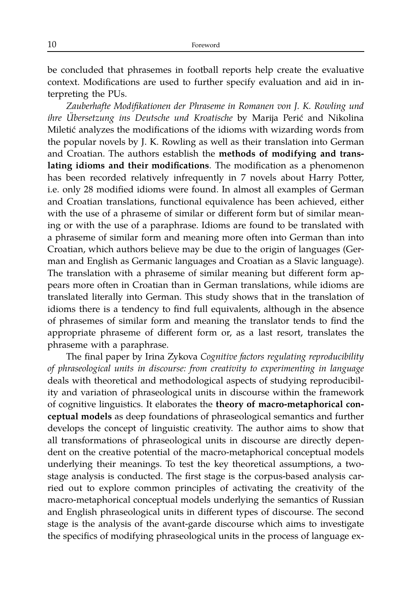be concluded that phrasemes in football reports help create the evaluative context. Modifications are used to further specify evaluation and aid in interpreting the PUs.

*Zauberhafte Modifikationen der Phraseme in Romanen von J. K. Rowling und ihre Übersetzung ins Deutsche und Kroatische* by Marija Perić and Nikolina Miletić analyzes the modifications of the idioms with wizarding words from the popular novels by J. K. Rowling as well as their translation into German and Croatian. The authors establish the **methods of modifying and translating idioms and their modifications**. The modification as a phenomenon has been recorded relatively infrequently in 7 novels about Harry Potter, i.e. only 28 modified idioms were found. In almost all examples of German and Croatian translations, functional equivalence has been achieved, either with the use of a phraseme of similar or different form but of similar meaning or with the use of a paraphrase. Idioms are found to be translated with a phraseme of similar form and meaning more often into German than into Croatian, which authors believe may be due to the origin of languages (German and English as Germanic languages and Croatian as a Slavic language). The translation with a phraseme of similar meaning but different form appears more often in Croatian than in German translations, while idioms are translated literally into German. This study shows that in the translation of idioms there is a tendency to find full equivalents, although in the absence of phrasemes of similar form and meaning the translator tends to find the appropriate phraseme of different form or, as a last resort, translates the phraseme with a paraphrase.

The final paper by Irina Zykova *Cognitive factors regulating reproducibility of phraseological units in discourse: from creativity to experimenting in language* deals with theoretical and methodological aspects of studying reproducibility and variation of phraseological units in discourse within the framework of cognitive linguistics. It elaborates the **theory of macro-metaphorical conceptual models** as deep foundations of phraseological semantics and further develops the concept of linguistic creativity. The author aims to show that all transformations of phraseological units in discourse are directly dependent on the creative potential of the macro-metaphorical conceptual models underlying their meanings. To test the key theoretical assumptions, a twostage analysis is conducted. The first stage is the corpus-based analysis carried out to explore common principles of activating the creativity of the macro-metaphorical conceptual models underlying the semantics of Russian and English phraseological units in different types of discourse. The second stage is the analysis of the avant-garde discourse which aims to investigate the specifics of modifying phraseological units in the process of language ex